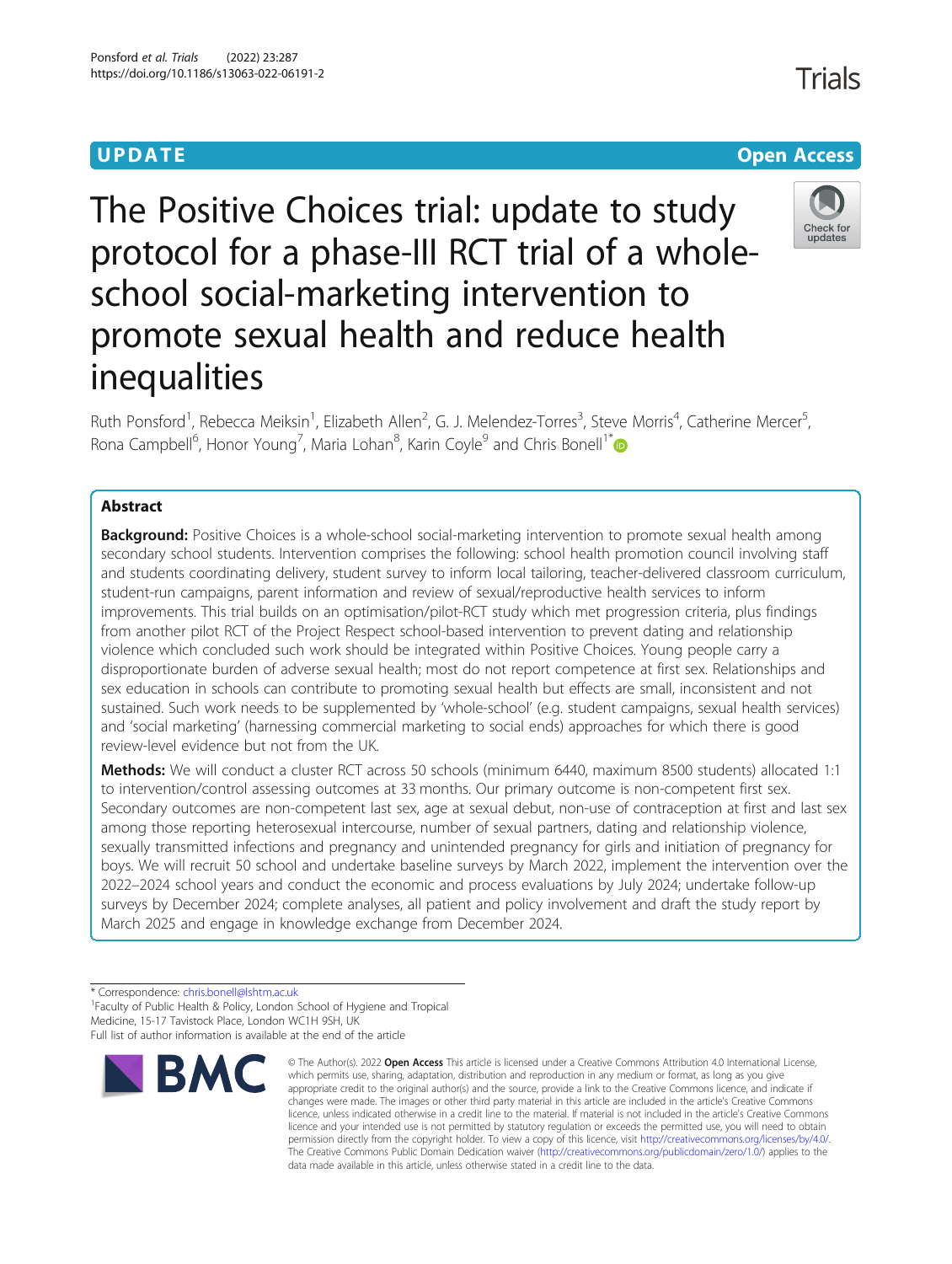# UP DA T E OPEN ACCESS AND THE OPEN ACCESS AND THE OPEN ACCESS AND THE OPEN ACCESS AND THE OPEN ACCESS AND THE The Positive Choices trial: update to study protocol for a phase-III RCT trial of a wholeschool social-marketing intervention to promote sexual health and reduce health inequalities

Ruth Ponsford<sup>1</sup>, Rebecca Meiksin<sup>1</sup>, Elizabeth Allen<sup>2</sup>, G. J. Melendez-Torres<sup>3</sup>, Steve Morris<sup>4</sup>, Catherine Mercer<sup>5</sup> , Rona Campbell<sup>6</sup>, Honor Young<sup>7</sup>, Maria Lohan<sup>8</sup>, Karin Coyle<sup>9</sup> and Chris Bonell<sup>1\*</sup>

## **Abstract**

**Background:** Positive Choices is a whole-school social-marketing intervention to promote sexual health among secondary school students. Intervention comprises the following: school health promotion council involving staff and students coordinating delivery, student survey to inform local tailoring, teacher-delivered classroom curriculum, student-run campaigns, parent information and review of sexual/reproductive health services to inform improvements. This trial builds on an optimisation/pilot-RCT study which met progression criteria, plus findings from another pilot RCT of the Project Respect school-based intervention to prevent dating and relationship violence which concluded such work should be integrated within Positive Choices. Young people carry a disproportionate burden of adverse sexual health; most do not report competence at first sex. Relationships and sex education in schools can contribute to promoting sexual health but effects are small, inconsistent and not sustained. Such work needs to be supplemented by 'whole-school' (e.g. student campaigns, sexual health services) and 'social marketing' (harnessing commercial marketing to social ends) approaches for which there is good review-level evidence but not from the UK.

Methods: We will conduct a cluster RCT across 50 schools (minimum 6440, maximum 8500 students) allocated 1:1 to intervention/control assessing outcomes at 33 months. Our primary outcome is non-competent first sex. Secondary outcomes are non-competent last sex, age at sexual debut, non-use of contraception at first and last sex among those reporting heterosexual intercourse, number of sexual partners, dating and relationship violence, sexually transmitted infections and pregnancy and unintended pregnancy for girls and initiation of pregnancy for boys. We will recruit 50 school and undertake baseline surveys by March 2022, implement the intervention over the 2022–2024 school years and conduct the economic and process evaluations by July 2024; undertake follow-up surveys by December 2024; complete analyses, all patient and policy involvement and draft the study report by March 2025 and engage in knowledge exchange from December 2024.

\* Correspondence: [chris.bonell@lshtm.ac.uk](mailto:chris.bonell@lshtm.ac.uk) <sup>1</sup>

**BMC** 

<sup>1</sup> Faculty of Public Health & Policy, London School of Hygiene and Tropical Medicine, 15-17 Tavistock Place, London WC1H 9SH, UK



© The Author(s), 2022 **Open Access** This article is licensed under a Creative Commons Attribution 4.0 International License, which permits use, sharing, adaptation, distribution and reproduction in any medium or format, as long as you give appropriate credit to the original author(s) and the source, provide a link to the Creative Commons licence, and indicate if changes were made. The images or other third party material in this article are included in the article's Creative Commons licence, unless indicated otherwise in a credit line to the material. If material is not included in the article's Creative Commons licence and your intended use is not permitted by statutory regulation or exceeds the permitted use, you will need to obtain permission directly from the copyright holder. To view a copy of this licence, visit [http://creativecommons.org/licenses/by/4.0/.](http://creativecommons.org/licenses/by/4.0/) The Creative Commons Public Domain Dedication waiver [\(http://creativecommons.org/publicdomain/zero/1.0/](http://creativecommons.org/publicdomain/zero/1.0/)) applies to the data made available in this article, unless otherwise stated in a credit line to the data.





Full list of author information is available at the end of the article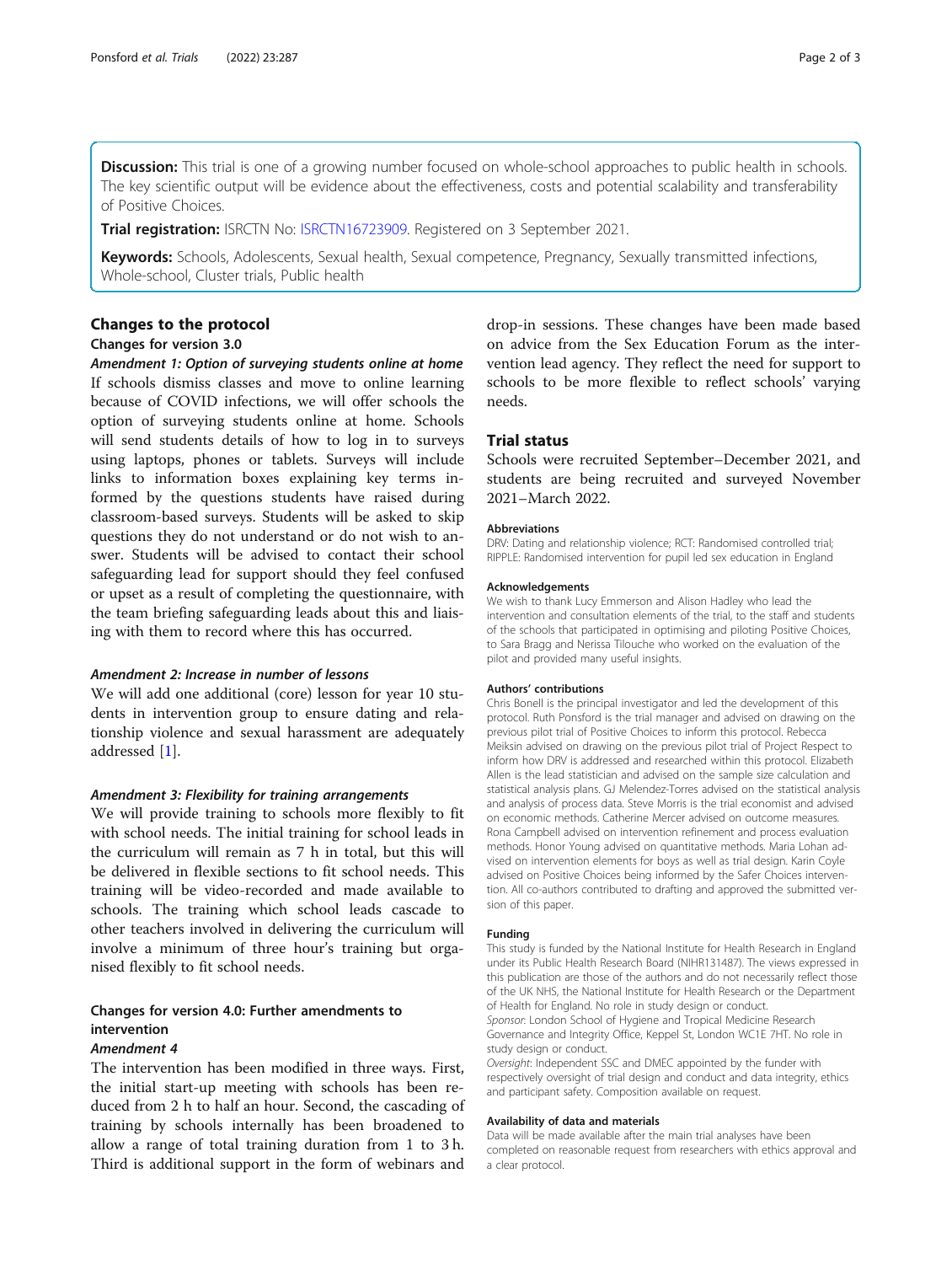Discussion: This trial is one of a growing number focused on whole-school approaches to public health in schools. The key scientific output will be evidence about the effectiveness, costs and potential scalability and transferability of Positive Choices.

Trial registration: ISRCTN No: [ISRCTN16723909.](https://www.isrctn.com/ISRCTN16723909?q=bonell&filters=&sort=&offset=1&totalResults=4&page=1&pageSize=10&searchType=basic-search) Registered on 3 September 2021.

Keywords: Schools, Adolescents, Sexual health, Sexual competence, Pregnancy, Sexually transmitted infections, Whole-school, Cluster trials, Public health

## Changes for version 3.0

Amendment 1: Option of surveying students online at home If schools dismiss classes and move to online learning because of COVID infections, we will offer schools the option of surveying students online at home. Schools will send students details of how to log in to surveys using laptops, phones or tablets. Surveys will include links to information boxes explaining key terms informed by the questions students have raised during classroom-based surveys. Students will be asked to skip questions they do not understand or do not wish to answer. Students will be advised to contact their school safeguarding lead for support should they feel confused or upset as a result of completing the questionnaire, with the team briefing safeguarding leads about this and liaising with them to record where this has occurred.

### Amendment 2: Increase in number of lessons

We will add one additional (core) lesson for year 10 students in intervention group to ensure dating and relationship violence and sexual harassment are adequately addressed [[1\]](#page-2-0).

### Amendment 3: Flexibility for training arrangements

We will provide training to schools more flexibly to fit with school needs. The initial training for school leads in the curriculum will remain as 7 h in total, but this will be delivered in flexible sections to fit school needs. This training will be video-recorded and made available to schools. The training which school leads cascade to other teachers involved in delivering the curriculum will involve a minimum of three hour's training but organised flexibly to fit school needs.

## Changes for version 4.0: Further amendments to intervention

### Amendment 4

The intervention has been modified in three ways. First, the initial start-up meeting with schools has been reduced from 2 h to half an hour. Second, the cascading of training by schools internally has been broadened to allow a range of total training duration from 1 to 3 h. Third is additional support in the form of webinars and

drop-in sessions. These changes have been made based on advice from the Sex Education Forum as the intervention lead agency. They reflect the need for support to schools to be more flexible to reflect schools' varying needs.

Schools were recruited September-December 2021, and students are being recruited and surveyed November 2021–March 2022.

#### **Abbreviations**

DRV: Dating and relationship violence; RCT: Randomised controlled trial; RIPPLE: Randomised intervention for pupil led sex education in England

#### Acknowledgements

We wish to thank Lucy Emmerson and Alison Hadley who lead the intervention and consultation elements of the trial, to the staff and students of the schools that participated in optimising and piloting Positive Choices, to Sara Bragg and Nerissa Tilouche who worked on the evaluation of the pilot and provided many useful insights.

#### Authors' contributions

Chris Bonell is the principal investigator and led the development of this protocol. Ruth Ponsford is the trial manager and advised on drawing on the previous pilot trial of Positive Choices to inform this protocol. Rebecca Meiksin advised on drawing on the previous pilot trial of Project Respect to inform how DRV is addressed and researched within this protocol. Elizabeth Allen is the lead statistician and advised on the sample size calculation and statistical analysis plans. GJ Melendez-Torres advised on the statistical analysis and analysis of process data. Steve Morris is the trial economist and advised on economic methods. Catherine Mercer advised on outcome measures. Rona Campbell advised on intervention refinement and process evaluation methods. Honor Young advised on quantitative methods. Maria Lohan advised on intervention elements for boys as well as trial design. Karin Coyle advised on Positive Choices being informed by the Safer Choices intervention. All co-authors contributed to drafting and approved the submitted version of this paper.

#### Funding

This study is funded by the National Institute for Health Research in England under its Public Health Research Board (NIHR131487). The views expressed in this publication are those of the authors and do not necessarily reflect those of the UK NHS, the National Institute for Health Research or the Department of Health for England. No role in study design or conduct. Sponsor: London School of Hygiene and Tropical Medicine Research

Governance and Integrity Office, Keppel St, London WC1E 7HT. No role in study design or conduct.

Oversight: Independent SSC and DMEC appointed by the funder with respectively oversight of trial design and conduct and data integrity, ethics and participant safety. Composition available on request.

#### Availability of data and materials

Data will be made available after the main trial analyses have been completed on reasonable request from researchers with ethics approval and a clear protocol.